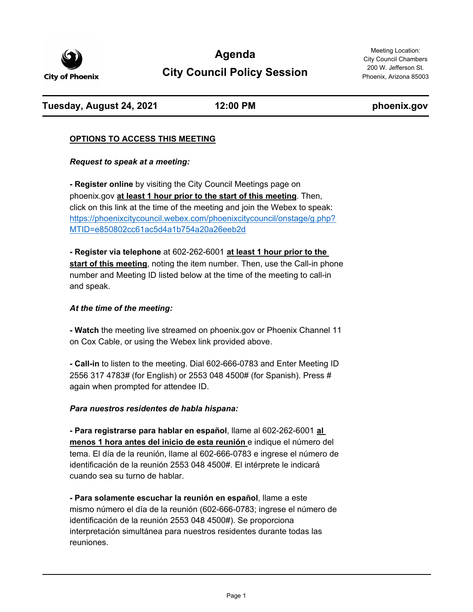

# **City Council Policy Session Agenda** Meeting Location:

City Council Chambers 200 W. Jefferson St. Phoenix, Arizona 85003

#### **Tuesday, August 24, 2021 12:00 PM phoenix.gov**

#### **OPTIONS TO ACCESS THIS MEETING**

#### *Request to speak at a meeting:*

**- Register online** by visiting the City Council Meetings page on phoenix.gov **at least 1 hour prior to the start of this meeting**. Then, click on this link at the time of the meeting and join the Webex to speak: [https://phoenixcitycouncil.webex.com/phoenixcitycouncil/onstage/g.php?](https://phoenixcitycouncil.webex.com/phoenixcitycouncil/onstage/g.php?MTID=e850802cc61ac5d4a1b754a20a26eeb2d) MTID=e850802cc61ac5d4a1b754a20a26eeb2d

**- Register via telephone** at 602-262-6001 **at least 1 hour prior to the start of this meeting**, noting the item number. Then, use the Call-in phone number and Meeting ID listed below at the time of the meeting to call-in and speak.

#### *At the time of the meeting:*

**- Watch** the meeting live streamed on phoenix.gov or Phoenix Channel 11 on Cox Cable, or using the Webex link provided above.

**- Call-in** to listen to the meeting. Dial 602-666-0783 and Enter Meeting ID 2556 317 4783# (for English) or 2553 048 4500# (for Spanish). Press # again when prompted for attendee ID.

#### *Para nuestros residentes de habla hispana:*

**- Para registrarse para hablar en español**, llame al 602-262-6001 **al menos 1 hora antes del inicio de esta reunión** e indique el número del tema. El día de la reunión, llame al 602-666-0783 e ingrese el número de identificación de la reunión 2553 048 4500#. El intérprete le indicará cuando sea su turno de hablar.

**- Para solamente escuchar la reunión en español**, llame a este mismo número el día de la reunión (602-666-0783; ingrese el número de identificación de la reunión 2553 048 4500#). Se proporciona interpretación simultánea para nuestros residentes durante todas las reuniones.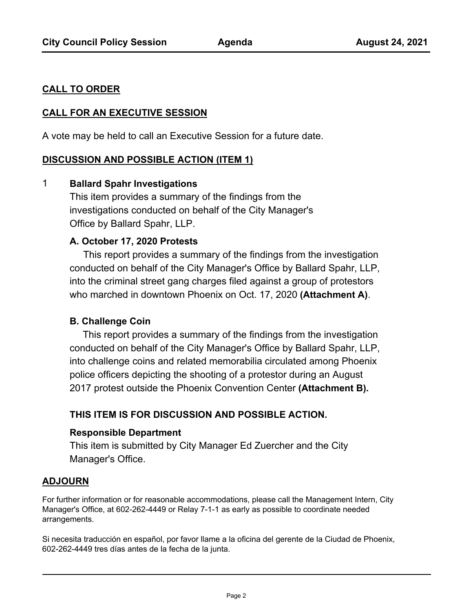### **CALL TO ORDER**

### **CALL FOR AN EXECUTIVE SESSION**

A vote may be held to call an Executive Session for a future date.

### **DISCUSSION AND POSSIBLE ACTION (ITEM 1)**

#### 1 **Ballard Spahr Investigations**

This item provides a summary of the findings from the investigations conducted on behalf of the City Manager's Office by Ballard Spahr, LLP.

#### **A. October 17, 2020 Protests**

This report provides a summary of the findings from the investigation conducted on behalf of the City Manager's Office by Ballard Spahr, LLP, into the criminal street gang charges filed against a group of protestors who marched in downtown Phoenix on Oct. 17, 2020 **(Attachment A)**.

#### **B. Challenge Coin**

This report provides a summary of the findings from the investigation conducted on behalf of the City Manager's Office by Ballard Spahr, LLP, into challenge coins and related memorabilia circulated among Phoenix police officers depicting the shooting of a protestor during an August 2017 protest outside the Phoenix Convention Center **(Attachment B).**

### **THIS ITEM IS FOR DISCUSSION AND POSSIBLE ACTION.**

#### **Responsible Department**

This item is submitted by City Manager Ed Zuercher and the City Manager's Office.

### **ADJOURN**

For further information or for reasonable accommodations, please call the Management Intern, City Manager's Office, at 602-262-4449 or Relay 7-1-1 as early as possible to coordinate needed arrangements.

Si necesita traducción en español, por favor llame a la oficina del gerente de la Ciudad de Phoenix, 602-262-4449 tres días antes de la fecha de la junta.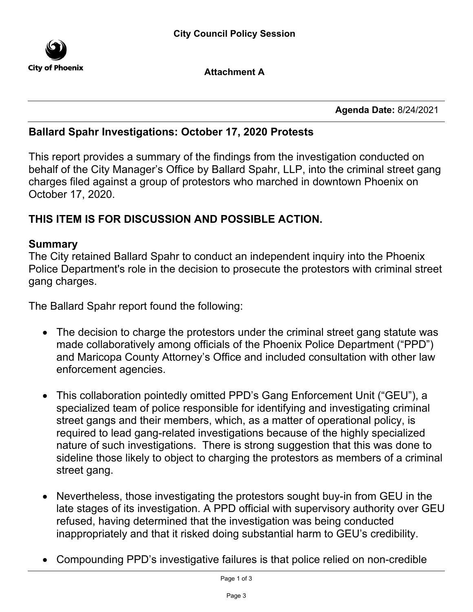

**Attachment A**

Agenda Date: 8/24/2021

# **Ballard Spahr** Investigations: October 17, 2020 Protests

This report provides a summary of the findings from the investigation conducted on behalf of the City Manager's Office by Ballard Spahr, LLP, into the criminal street gang charges filed against a group of protestors who marched in downtown Phoenix on October 17, 2020.

# THIS ITEM IS FOR DISCUSSION AND POSSIBLE ACTION.

### Summary

The City retained Ballard Spahr to conduct an independent inquiry into the Phoenix Police Department's role in the decision to prosecute the protestors with criminal street gang charges.

The Ballard Spahr report found the following:

- · The decision to charge the protestors under the criminal street gang statute was made collaboratively among officials of the Phoenix Police Department ("PPD") and Maricopa County Attorney's Office and included consultation with other law enforcement agencies.
- · This collaboration pointedly omitted PPD's Gang Enforcement Unit ("GEU"), a specialized team of police responsible for identifying and investigating criminal street gangs and their members, which, as a matter of operational policy, is required to lead gang-related investigations because of the highly specialized nature of such investigations. There is strong suggestion that this was done to sideline those likely to object to charging the protestors as members of a criminal street gang.
- · Nevertheless, those investigating the protestors sought buy-in from GEU in the late stages of its investigation. A PPD official with supervisory authority over GEU refused, having determined that the investigation was being conducted inappropriately and that it risked doing substantial harm to GEU's credibility.
- · Compounding PPD's investigative failures is that police relied on non-credible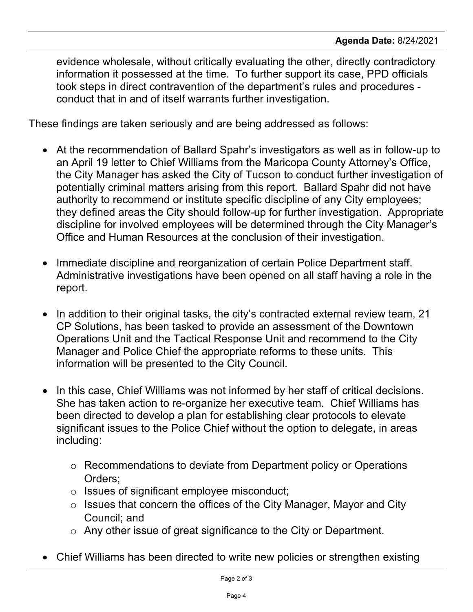evidence wholesale, without critically evaluating the other, directly contradictory information it possessed at the time. To further support its case, PPD officials took steps in direct contravention of the department's rules and procedures conduct that in and of itself warrants further investigation.

These findings are taken seriously and are being addressed as follows:

- · At the recommendation of Ballard Spahr's investigators as well as in follow-up to an April 19 letter to Chief Williams from the Maricopa County Attorney's Office, the City Manager has asked the City of Tucson to conduct further investigation of potentially criminal matters arising from this report. Ballard Spahr did not have authority to recommend or institute specific discipline of any City employees; they defined areas the City should follow-up for further investigation. Appropriate discipline for involved employees will be determined through the City Manager's Office and Human Resources at the conclusion of their investigation.
- · Immediate discipline and reorganization of certain Police Department staff. Administrative investigations have been opened on all staff having a role in the report.
- In addition to their original tasks, the city's contracted external review team, 21 CP Solutions, has been tasked to provide an assessment of the Downtown Operations Unit and the Tactical Response Unit and recommend to the City Manager and Police Chief the appropriate reforms to these units. This information will be presented to the City Council.
- In this case, Chief Williams was not informed by her staff of critical decisions. She has taken action to re-organize her executive team. Chief Williams has been directed to develop a plan for establishing clear protocols to elevate significant issues to the Police Chief without the option to delegate, in areas including:
	- o Recommendations to deviate from Department policy or Operations Orders;
	- o Issues of significant employee misconduct;
	- o Issues that concern the offices of the City Manager, Mayor and City Council; and
	- o Any other issue of great significance to the City or Department.
- · Chief Williams has been directed to write new policies or strengthen existing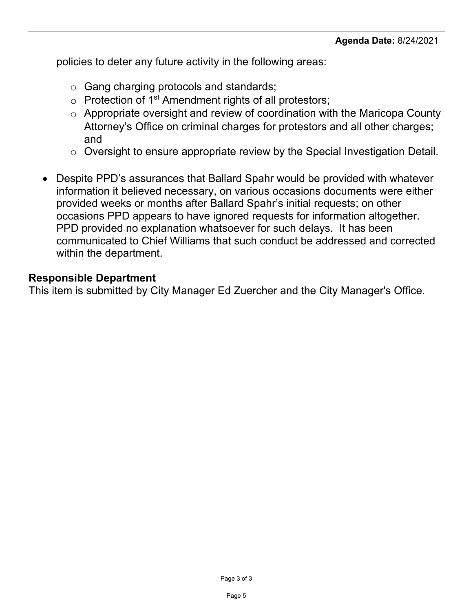policies to deter any future activity in the following areas:

- o Gang charging protocols and standards;
- $\circ$  Protection of 1<sup>st</sup> Amendment rights of all protestors;
- o Appropriate oversight and review of coordination with the Maricopa County Attorney's Office on criminal charges for protestors and all other charges; and
- o Oversight to ensure appropriate review by the Special Investigation Detail.
- · Despite PPD's assurances that Ballard Spahr would be provided with whatever information it believed necessary, on various occasions documents were either provided weeks or months after Ballard Spahr's initial requests; on other occasions PPD appears to have ignored requests for information altogether. PPD provided no explanation whatsoever for such delays. It has been communicated to Chief Williams that such conduct be addressed and corrected within the department.

# Responsible Department

This item is submitted by City Manager Ed Zuercher and the City Manager's Office.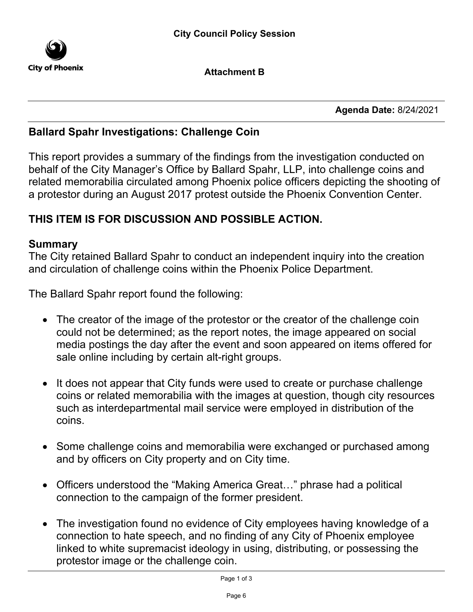

**Attachment B**

Agenda Date: 8/24/2021

### **Ballard Spahr** Investigations: Challenge Coin

This report provides a summary of the findings from the investigation conducted on behalf of the City Manager's Office by Ballard Spahr, LLP, into challenge coins and related memorabilia circulated among Phoenix police officers depicting the shooting of a protestor during an August 2017 protest outside the Phoenix Convention Center.

# THIS ITEM IS FOR DISCUSSION AND POSSIBLE ACTION.

### **Summary**

The City retained Ballard Spahr to conduct an independent inquiry into the creation and circulation of challenge coins within the Phoenix Police Department.

The Ballard Spahr report found the following:

- The creator of the image of the protestor or the creator of the challenge coin could not be determined; as the report notes, the image appeared on social media postings the day after the event and soon appeared on items offered for sale online including by certain alt-right groups.
- It does not appear that City funds were used to create or purchase challenge coins or related memorabilia with the images at question, though city resources such as interdepartmental mail service were employed in distribution of the coins.
- Some challenge coins and memorabilia were exchanged or purchased among and by officers on City property and on City time.
- Officers understood the "Making America Great..." phrase had a political connection to the campaign of the former president.
- The investigation found no evidence of City employees having knowledge of a connection to hate speech, and no finding of any City of Phoenix employee linked to white supremacist ideology in using, distributing, or possessing the protestor image or the challenge coin.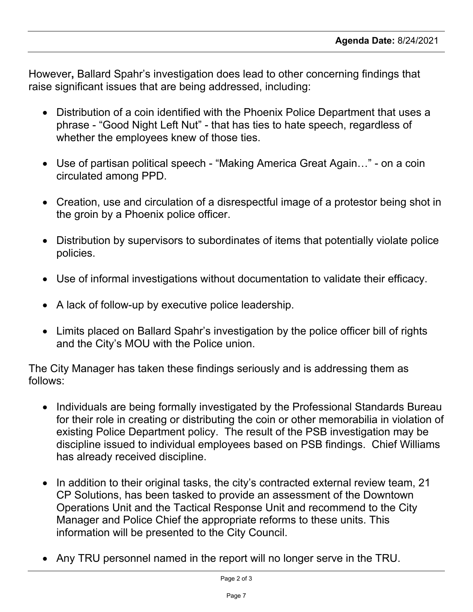However, Ballard Spahr's investigation does lead to other concerning findings that raise significant issues that are being addressed, including:

- · Distribution of a coin identified with the Phoenix Police Department that uses a phrase - "Good Night Left Nut" - that has ties to hate speech, regardless of whether the employees knew of those ties.
- · Use of partisan political speech "Making America Great Again…" on a coin circulated among PPD.
- · Creation, use and circulation of a disrespectful image of a protestor being shot in the groin by a Phoenix police officer.
- · Distribution by supervisors to subordinates of items that potentially violate police policies.
- · Use of informal investigations without documentation to validate their efficacy.
- · A lack of follow-up by executive police leadership.
- Limits placed on Ballard Spahr's investigation by the police officer bill of rights and the City's MOU with the Police union.

The City Manager has taken these findings seriously and is addressing them as follows:

- · Individuals are being formally investigated by the Professional Standards Bureau for their role in creating or distributing the coin or other memorabilia in violation of existing Police Department policy. The result of the PSB investigation may be discipline issued to individual employees based on PSB findings. Chief Williams has already received discipline.
- · In addition to their original tasks, the city's contracted external review team, 21 CP Solutions, has been tasked to provide an assessment of the Downtown Operations Unit and the Tactical Response Unit and recommend to the City Manager and Police Chief the appropriate reforms to these units. This information will be presented to the City Council.
- · Any TRU personnel named in the report will no longer serve in the TRU.